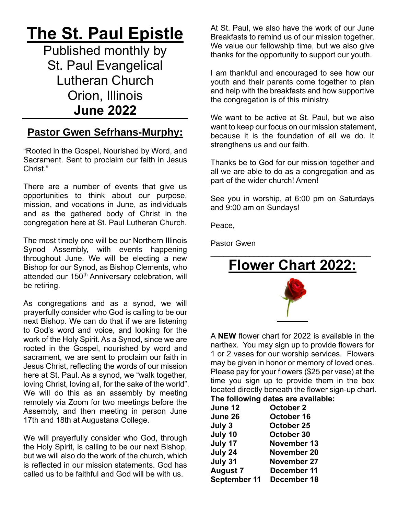# **The St. Paul Epistle**

Published monthly by St. Paul Evangelical Lutheran Church Orion, Illinois **June 2022**

### **Pastor Gwen Sefrhans-Murphy:**

"Rooted in the Gospel, Nourished by Word, and Sacrament. Sent to proclaim our faith in Jesus Christ."

There are a number of events that give us opportunities to think about our purpose, mission, and vocations in June, as individuals and as the gathered body of Christ in the congregation here at St. Paul Lutheran Church.

The most timely one will be our Northern Illinois Synod Assembly, with events happening throughout June. We will be electing a new Bishop for our Synod, as Bishop Clements, who attended our 150<sup>th</sup> Anniversary celebration, will be retiring.

As congregations and as a synod, we will prayerfully consider who God is calling to be our next Bishop. We can do that if we are listening to God's word and voice, and looking for the work of the Holy Spirit. As a Synod, since we are rooted in the Gospel, nourished by word and sacrament, we are sent to proclaim our faith in Jesus Christ, reflecting the words of our mission here at St. Paul. As a synod, we "walk together, loving Christ, loving all, for the sake of the world". We will do this as an assembly by meeting remotely via Zoom for two meetings before the Assembly, and then meeting in person June 17th and 18th at Augustana College.

We will prayerfully consider who God, through the Holy Spirit, is calling to be our next Bishop, but we will also do the work of the church, which is reflected in our mission statements. God has called us to be faithful and God will be with us.

At St. Paul, we also have the work of our June Breakfasts to remind us of our mission together. We value our fellowship time, but we also give thanks for the opportunity to support our youth.

I am thankful and encouraged to see how our youth and their parents come together to plan and help with the breakfasts and how supportive the congregation is of this ministry.

We want to be active at St. Paul, but we also want to keep our focus on our mission statement, because it is the foundation of all we do. It strengthens us and our faith.

Thanks be to God for our mission together and all we are able to do as a congregation and as part of the wider church! Amen!

See you in worship, at 6:00 pm on Saturdays and 9:00 am on Sundays!

Peace,

Pastor Gwen

### \_\_\_\_\_\_\_\_\_\_\_\_\_\_\_\_\_\_\_\_\_\_\_\_\_\_\_\_\_\_\_\_\_\_\_\_\_ **Flower Chart 2022:**



A **NEW** flower chart for 2022 is available in the narthex. You may sign up to provide flowers for 1 or 2 vases for our worship services. Flowers may be given in honor or memory of loved ones. Please pay for your flowers (\$25 per vase) at the time you sign up to provide them in the box located directly beneath the flower sign-up chart. **The following dates are available:**

| <b>October 2</b>            |
|-----------------------------|
| October 16                  |
| October 25                  |
| October 30                  |
| November 13                 |
| November 20                 |
| November 27                 |
| December 11                 |
| September 11<br>December 18 |
|                             |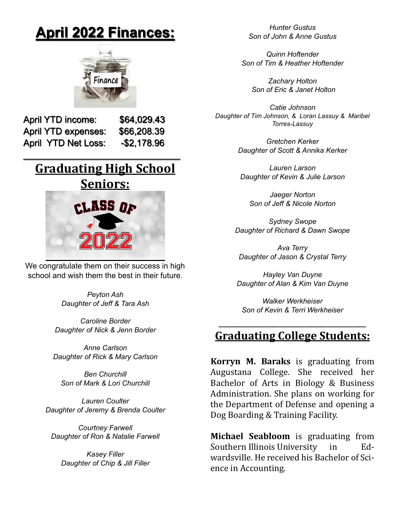# **April 2022 Finances:**



April YTD income: \$64,029.43 April YTD expenses: \$66,208.39 April YTD Net Loss: -\$2,178.96

### **Graduating High School Seniors:**

 $\overline{\mathcal{L}}$  , and the state of the state of the state of the state of the state of the state of the state of the state of the state of the state of the state of the state of the state of the state of the state of the stat



We congratulate them on their success in high school and wish them the best in their future.

> *Peyton Ash Daughter of Jeff & Tara Ash*

*Caroline Border Daughter of Nick & Jenn Border*

*Anne Carlson Daughter of Rick & Mary Carlson*

*Ben Churchill Son of Mark & Lori Churchill*

*Lauren Coulter Daughter of Jeremy & Brenda Coulter*

*Courtney Farwell Daughter of Ron & Natalie Farwell*

*Kasey Filler Daughter of Chip & Jill Filler*

*Hunter Gustus Son of John & Anne Gustus*

*Quinn Hoftender Son of Tim & Heather Hoftender*

*Zachary Holton Son of Eric & Janet Holton*

*Catie Johnson Daughter of Tim Johnson, & Loran Lassuy & Maribel Torres-Lassuy*

> *Gretchen Kerker Daughter of Scott & Annika Kerker*

*Lauren Larson Daughter of Kevin & Julie Larson*

*Jaeger Norton Son of Jeff & Nicole Norton*

*Sydney Swope Daughter of Richard & Dawn Swope*

*Ava Terry Daughter of Jason & Crystal Terry*

*Hayley Van Duyne Daughter of Alan & Kim Van Duyne*

*Walker Werkheiser Son of Kevin & Terri Werkheiser*

### **Graduating College Students:**

\_\_\_\_\_\_\_\_\_\_\_\_\_\_\_\_\_\_\_\_\_\_\_\_\_\_\_\_\_\_\_\_\_\_

**Korryn M. Baraks** is graduating from Augustana College. She received her Bachelor of Arts in Biology & Business Administration. She plans on working for the Department of Defense and opening a Dog Boarding & Training Facility.

**Michael Seabloom** is graduating from Southern Illinois University in Edwardsville. He received his Bachelor of Science in Accounting.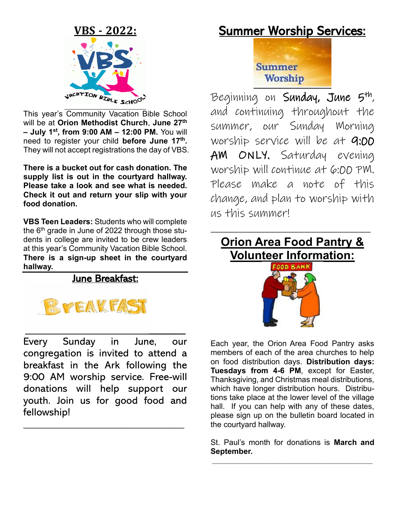

This year's Community Vacation Bible School will be at **Orion Methodist Church**, **June 27th – July 1st, from 9:00 AM – 12:00 PM.** You will need to register your child **before June 17th .** They will not accept registrations the day of VBS.

**There is a bucket out for cash donation. The supply list is out in the courtyard hallway. Please take a look and see what is needed. Check it out and return your slip with your food donation.**

**VBS Teen Leaders:** Students who will complete the  $6<sup>th</sup>$  grade in June of 2022 through those students in college are invited to be crew leaders at this year's Community Vacation Bible School. **There is a sign-up sheet in the courtyard hallway.**

June Breakfast:



Every Sunday in June, our congregation is invited to attend a breakfast in the Ark following the 9:00 AM worship service. Free-will donations will help support our youth. Join us for good food and fellowship!

\_\_\_\_\_\_\_\_\_\_\_\_\_\_\_\_\_\_\_\_\_\_\_\_\_\_\_\_\_\_\_

 $\overline{\phantom{a}}$ 

### Summer Worship Services:



i<br>Li

Beginning on **Sunday, June 5<sup>th</sup>,** and continuing throughout the summer, our Sunday Morning worship service will be at 9:00 AM ONLY. Saturday evening worship will continue at 6:00 PM. Please make a note of this change, and plan to worship with us this summer!

### **Orion Area Food Pantry & Volunteer Information:**

\_\_\_\_\_\_\_\_\_\_\_\_\_\_\_\_\_\_\_\_\_\_\_\_\_\_\_\_\_



Each year, the Orion Area Food Pantry asks members of each of the area churches to help on food distribution days. **Distribution days: Tuesdays from 4-6 PM**, except for Easter, Thanksgiving, and Christmas meal distributions, which have longer distribution hours. Distributions take place at the lower level of the village hall. If you can help with any of these dates, please sign up on the bulletin board located in the courtyard hallway.

St. Paul's month for donations is **March and September.**

**\_\_\_\_\_\_\_\_\_\_\_\_\_\_\_\_\_\_\_\_\_\_\_\_\_\_\_\_\_\_\_\_\_\_\_\_\_**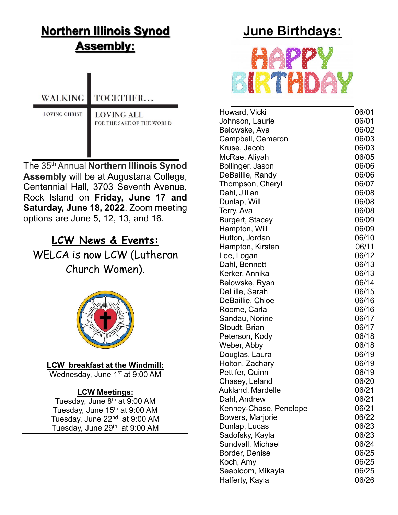## **Northern Illinois Synod Assembly:**

**WALKING** TOGETHER...

**LOVING CHRIST** 

**LOVING ALL** FOR THE SAKE OF THE WORLD

The 35th Annual **[Northern Illinois Synod](http://assembly.nisynod.org/)  [Assembly](http://assembly.nisynod.org/)** will be at Augustana College, Centennial Hall, 3703 Seventh Avenue, Rock Island on **Friday, June 17 and Saturday, June 18, 2022**. Zoom meeting options are June 5, 12, 13, and 16.

**LCW News & Events:** WELCA is now LCW (Lutheran Church Women).

 $\mathcal{L}_\text{max}$  , and the set of the set of the set of the set of the set of the set of the set of the set of the set of the set of the set of the set of the set of the set of the set of the set of the set of the set of the



#### **LCW breakfast at the Windmill:**

Wednesday, June 1<sup>st</sup> at 9:00 AM

#### **LCW Meetings:**

Tuesday, June 8<sup>th</sup> at 9:00 AM Tuesday, June 15<sup>th</sup> at 9:00 AM Tuesday, June 22<sup>nd</sup> at 9:00 AM Tuesday, June 29<sup>th</sup> at 9:00 AM

### **June Birthdays:**



| Howard, Vicki          | 06/01 |
|------------------------|-------|
| Johnson, Laurie        | 06/01 |
| Belowske, Ava          | 06/02 |
| Campbell, Cameron      | 06/03 |
| Kruse, Jacob           | 06/03 |
| McRae, Aliyah          | 06/05 |
| Bollinger, Jason       | 06/06 |
| DeBaillie, Randy       | 06/06 |
| Thompson, Cheryl       | 06/07 |
| Dahl, Jillian          | 06/08 |
| Dunlap, Will           | 06/08 |
| Terry, Ava             | 06/08 |
| <b>Burgert, Stacey</b> | 06/09 |
| Hampton, Will          | 06/09 |
| Hutton, Jordan         | 06/10 |
| Hampton, Kirsten       | 06/11 |
| Lee, Logan             | 06/12 |
| Dahl, Bennett          | 06/13 |
| Kerker, Annika         | 06/13 |
| Belowske, Ryan         | 06/14 |
| DeLille, Sarah         | 06/15 |
| DeBaillie, Chloe       | 06/16 |
| Roome, Carla           | 06/16 |
| Sandau, Norine         | 06/17 |
| Stoudt, Brian          | 06/17 |
| Peterson, Kody         | 06/18 |
| Weber, Abby            | 06/18 |
| Douglas, Laura         | 06/19 |
| Holton, Zachary        | 06/19 |
| Pettifer, Quinn        | 06/19 |
| Chasey, Leland         | 06/20 |
| Aukland, Mardelle      | 06/21 |
| Dahl, Andrew           | 06/21 |
| Kenney-Chase, Penelope | 06/21 |
| Bowers, Marjorie       | 06/22 |
| Dunlap, Lucas          | 06/23 |
| Sadofsky, Kayla        | 06/23 |
| Sundvall, Michael      | 06/24 |
| Border, Denise         | 06/25 |
| Koch, Amy              | 06/25 |
| Seabloom, Mikayla      | 06/25 |
| Halferty, Kayla        | 06/26 |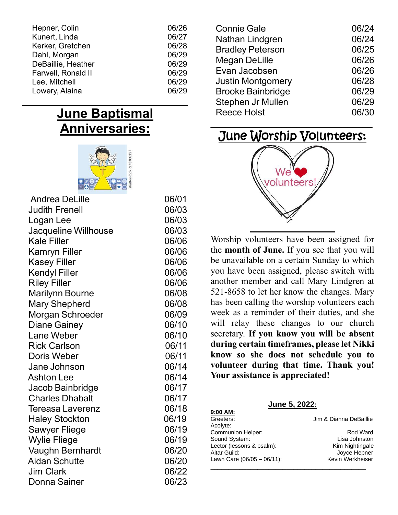| Hepner, Colin      | 06/26 |
|--------------------|-------|
| Kunert, Linda      | 06/27 |
| Kerker, Gretchen   | 06/28 |
| Dahl, Morgan       | 06/29 |
| DeBaillie, Heather | 06/29 |
| Farwell, Ronald II | 06/29 |
| Lee, Mitchell      | 06/29 |
| Lowery, Alaina     | 06/29 |
|                    |       |

### **June Baptismal Anniversaries:**



| <b>Andrea DeLille</b>  | 06/01 |
|------------------------|-------|
| <b>Judith Frenell</b>  | 06/03 |
| Logan Lee              | 06/03 |
| Jacqueline Willhouse   | 06/03 |
| <b>Kale Filler</b>     | 06/06 |
| <b>Kamryn Filler</b>   | 06/06 |
| <b>Kasey Filler</b>    | 06/06 |
| <b>Kendyl Filler</b>   | 06/06 |
| <b>Riley Filler</b>    | 06/06 |
| <b>Marilynn Bourne</b> | 06/08 |
| <b>Mary Shepherd</b>   | 06/08 |
| Morgan Schroeder       | 06/09 |
| <b>Diane Gainey</b>    | 06/10 |
| Lane Weber             | 06/10 |
| <b>Rick Carlson</b>    | 06/11 |
| Doris Weber            | 06/11 |
| Jane Johnson           | 06/14 |
| <b>Ashton Lee</b>      | 06/14 |
| Jacob Bainbridge       | 06/17 |
| <b>Charles Dhabalt</b> | 06/17 |
| Tereasa Laverenz       | 06/18 |
| <b>Haley Stockton</b>  | 06/19 |
| Sawyer Fliege          | 06/19 |
| <b>Wylie Fliege</b>    | 06/19 |
| Vaughn Bernhardt       | 06/20 |
| <b>Aidan Schutte</b>   | 06/20 |
| <b>Jim Clark</b>       | 06/22 |
| <b>Donna Sainer</b>    | 06/23 |

| <b>Connie Gale</b>       | 06/24 |
|--------------------------|-------|
| Nathan Lindgren          | 06/24 |
| <b>Bradley Peterson</b>  | 06/25 |
| <b>Megan DeLille</b>     | 06/26 |
| Evan Jacobsen            | 06/26 |
| <b>Justin Montgomery</b> | 06/28 |
| <b>Brooke Bainbridge</b> | 06/29 |
| Stephen Jr Mullen        | 06/29 |
| <b>Reece Holst</b>       | 06/30 |
|                          |       |

### June Worship Volunteers:



Worship volunteers have been assigned for the **month of June.** If you see that you will be unavailable on a certain Sunday to which you have been assigned, please switch with another member and call Mary Lindgren at 521-8658 to let her know the changes. Mary has been calling the worship volunteers each week as a reminder of their duties, and she will relay these changes to our church secretary. **If you know you will be absent during certain timeframes, please let Nikki know so she does not schedule you to volunteer during that time. Thank you! Your assistance is appreciated!**

**June 5, 2022:**

| 9:00 AM:                   |                        |
|----------------------------|------------------------|
| Greeters:                  | Jim & Dianna DeBaillie |
| Acolvte:                   |                        |
| Communion Helper:          | Rod Ward               |
| Sound System:              | Lisa Johnston          |
| Lector (lessons & psalm):  | Kim Nightingale        |
| Altar Guild:               | Joyce Hepner           |
| Lawn Care (06/05 - 06/11): | Kevin Werkheiser       |
|                            |                        |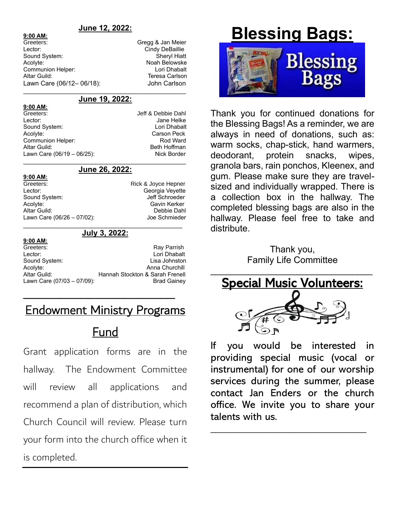#### **June 12, 2022:**

**9:00 AM:**

Greeters: Greeters: Gregg & Jan Meier Lector: Cindy DeBaillie Sound System: Sound System: Sheryl Hiatt Acolyte: Noah Belowske<br>Communion Helper: Noah Belowske<br>Communion Helper: Noah Belowske Communion Helper: Altar Guild: Teresa Carlson Lawn Care (06/12– 06/18): John Carlson

#### **June 19, 2022:**

**9:00 AM:** Greeters: Greeters: Greeters: Jeff & Debbie Dahl Lector: **Contract Contract Contract Contract Contract Contract Contract Contract Contract Contract Contract Contract Contract Contract Contract Contract Contract Contract Contract Contract Contract Contract Contract Contra** Sound System: Communication of the Lori Dhabalt Acolyte: Carson Peck Communion Helper: Rod Ward Altar Guild: Beth Hoffman Lawn Care (06/19 – 06/25): Nick Border

#### **June 26, 2022:**

**9:00 AM:** Greeters: Greeters: Rick & Joyce Hepner Lector: Change of Contract Contract Contract Contract Contract Contract Contract Contract Contract Contract Contract Contract Contract Contract Contract Contract Contract Contract Contract Contract Contract Contract Contra Sound System: Sound System: Jeff Schroeder Acolyte: **Gavin Kerker** Altar Guild: Debbie Dahl Lawn Care (06/26 – 07/02): Joe Schmieder  $\mathcal{L}_\text{max}$  and  $\mathcal{L}_\text{max}$  and  $\mathcal{L}_\text{max}$  and  $\mathcal{L}_\text{max}$  and  $\mathcal{L}_\text{max}$ 

#### **July 3, 2022:**

| Ray Parrish                     |
|---------------------------------|
| Lori Dhabalt                    |
| Lisa Johnston                   |
| Anna Churchill                  |
| Hannah Stockton & Sarah Frenell |
| <b>Brad Gainey</b>              |
|                                 |
|                                 |
|                                 |

## Endowment Ministry Programs Fund

Grant application forms are in the hallway. The Endowment Committee will review all applications and recommend a plan of distribution, which Church Council will review. Please turn your form into the church office when it is completed.

# **Blessing Bags:**



Thank you for continued donations for the Blessing Bags! As a reminder, we are always in need of donations, such as: warm socks, chap-stick, hand warmers, deodorant, protein snacks, wipes, granola bars, rain ponchos, Kleenex, and gum. Please make sure they are travelsized and individually wrapped. There is a collection box in the hallway. The completed blessing bags are also in the hallway. Please feel free to take and distribute.

> Thank you, Family Life Committee



If you would be interested in providing special music (vocal or instrumental) for one of our worship services during the summer, please contact Jan Enders or the church office. We invite you to share your talents with us.

\_\_\_\_\_\_\_\_\_\_\_\_\_\_\_\_\_\_\_\_\_\_\_\_\_\_\_\_\_\_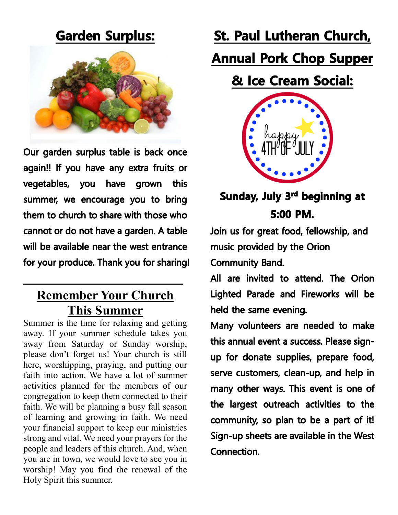### **Garden Surplus:**



Our garden surplus table is back once again!! If you have any extra fruits or vegetables, you have grown this summer, we encourage you to bring them to church to share with those who cannot or do not have a garden. A table will be available near the west entrance for your produce. Thank you for sharing!

### **Remember Your Church This Summer**

Summer is the time for relaxing and getting away. If your summer schedule takes you away from Saturday or Sunday worship, please don't forget us! Your church is still here, worshipping, praying, and putting our faith into action. We have a lot of summer activities planned for the members of our congregation to keep them connected to their faith. We will be planning a busy fall season of learning and growing in faith. We need your financial support to keep our ministries strong and vital. We need your prayers for the people and leaders of this church. And, when you are in town, we would love to see you in worship! May you find the renewal of the Holy Spirit this summer.

# St. Paul Lutheran Church,

## **Annual Pork Chop Supper**

## & Ice Cream Social:



## Sunday, July 3<sup>rd</sup> beginning at 5:00 PM.

Join us for great food, fellowship, and music provided by the Orion **Community Band.** 

All are invited to attend. The Orion Lighted Parade and Fireworks will be held the same evening.

Many volunteers are needed to make this annual event a success. Please signup for donate supplies, prepare food, serve customers, clean-up, and help in many other ways. This event is one of the largest outreach activities to the community, so plan to be a part of it! Sign-up sheets are available in the West Connection.